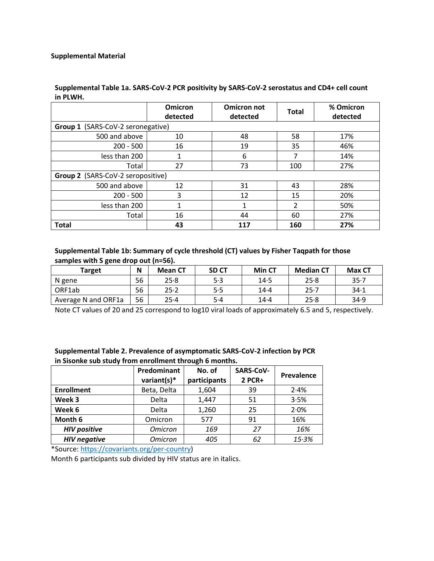## **Supplemental Table 1a. SARS-CoV-2 PCR positivity by SARS-CoV-2 serostatus and CD4+ cell count in PLWH.**

|                                   | <b>Omicron</b><br>detected | <b>Omicron not</b><br>detected | <b>Total</b>  | % Omicron<br>detected |  |  |  |
|-----------------------------------|----------------------------|--------------------------------|---------------|-----------------------|--|--|--|
| Group 1 (SARS-CoV-2 seronegative) |                            |                                |               |                       |  |  |  |
| 500 and above                     | 10                         | 48                             | 58            | 17%                   |  |  |  |
| $200 - 500$                       | 16                         | 19                             | 35            | 46%                   |  |  |  |
| less than 200                     |                            | 6                              |               | 14%                   |  |  |  |
| Total                             | 27                         | 73                             | 100           | 27%                   |  |  |  |
| Group 2 (SARS-CoV-2 seropositive) |                            |                                |               |                       |  |  |  |
| 500 and above                     | 12                         | 31                             | 43            | 28%                   |  |  |  |
| $200 - 500$                       | 3                          | 12                             | 15            | 20%                   |  |  |  |
| less than 200                     |                            | 1                              | $\mathcal{P}$ | 50%                   |  |  |  |
| Total                             | 16                         | 44                             | 60            | 27%                   |  |  |  |
| <b>Total</b>                      | 43                         | 117                            | 160           | 27%                   |  |  |  |

## **Supplemental Table 1b: Summary of cycle threshold (CT) values by Fisher Taqpath for those samples with S gene drop out (n=56).**

| <b>Target</b>       | N  | <b>Mean CT</b> | <b>SD CT</b> | Min CT | <b>Median CT</b> | Max CT   |
|---------------------|----|----------------|--------------|--------|------------------|----------|
| N gene              | 56 | 25.8           | 5.3          | 14.5   | 25.8             | $35 - 7$ |
| ORF1ab              | 56 | $25 - 2$       | 5.5          | $14-4$ | 25.7             | 34.1     |
| Average N and ORF1a | 56 | 25.4           | 5.4          | $14-4$ | 25.8             | 34.9     |

Note CT values of 20 and 25 correspond to log10 viral loads of approximately 6.5 and 5, respectively.

## **Supplemental Table 2. Prevalence of asymptomatic SARS-CoV-2 infection by PCR in Sisonke sub study from enrollment through 6 months.**

|                     | Predominant<br>variant(s) $*$ | No. of<br>participants | SARS-CoV-<br>2 PCR+ | Prevalence |
|---------------------|-------------------------------|------------------------|---------------------|------------|
| <b>Enrollment</b>   | Beta, Delta                   | 1,604                  | 39                  | 2.4%       |
| Week 3              | Delta                         | 1,447                  | 51                  | 3.5%       |
| Week 6              | Delta                         | 1,260                  | 25                  | 2.0%       |
| Month 6             | Omicron                       | 577                    | 91                  | 16%        |
| <b>HIV positive</b> | <b>Omicron</b>                | 169                    | 27                  | 16%        |
| <b>HIV negative</b> | <b>Omicron</b>                | 405                    | 62                  | 15.3%      |

\*Source[: https://covariants.org/per-country\)](https://covariants.org/per-country)

Month 6 participants sub divided by HIV status are in italics.